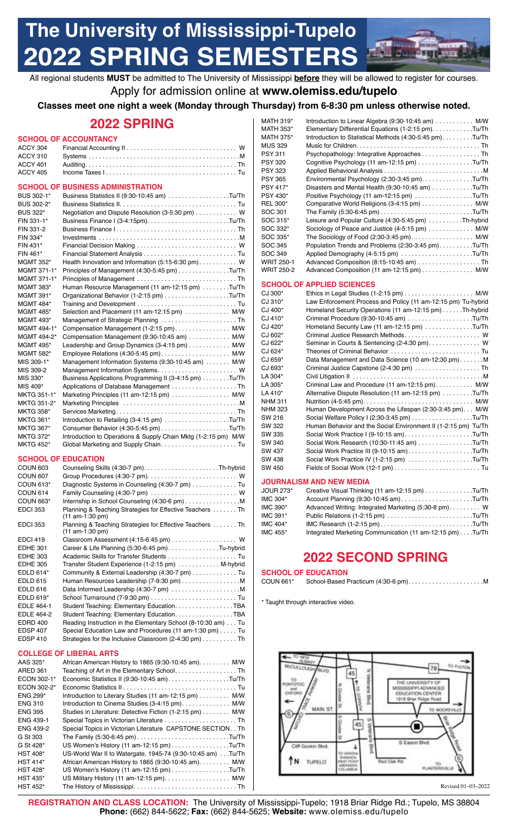# **The University of Mississippi-Tupelo 2022 SPRING SEMESTER**



All regional students **MUST** be admitted to The University of Mississippi **before** they will be allowed to register for courses. Apply for admission online at **<www.olemiss.edu/tupelo>**

# **Classes meet one night a week (Monday through Thursday) from 6-8:30 pm unless otherwise noted.**

# **2022 SPRING**

### **SCHOOL OF ACCOUNTANCY**

| COUOOL OF BHOINECC ADMINICTDATION |
|-----------------------------------|

### **SCHOOL OF BUSINESS ADMINISTRATION**

| וט בוטטווטט      | <b>PUSINESS ADIVINIS LITATION</b>                              |
|------------------|----------------------------------------------------------------|
| BUS 302-1*       | Business Statistics II (9:30-10:45 am) Tu/Th                   |
| BUS 302-2*       |                                                                |
| <b>BUS 322*</b>  | Negotiation and Dispute Resolution (3-5:30 pm) W               |
| FIN 331-1*       |                                                                |
| FIN 331-2        |                                                                |
| FIN 334*         |                                                                |
| FIN 431*         |                                                                |
| FIN 461*         |                                                                |
| MGMT 352*        | Health Innovation and Information (5:15-6:30 pm) W             |
| MGMT 371-1*      | Principles of Management (4:30-5:45 pm) Tu/Th                  |
| MGMT 371-1*      |                                                                |
| <b>MGMT 383*</b> | Human Resource Management (11 am-12:15 pm) Tu/Th               |
| MGMT 391*        |                                                                |
| <b>MGMT 484*</b> |                                                                |
| <b>MGMT 485*</b> | Selection and Placement (11 am-12:15 pm)  M/W                  |
| <b>MGMT 493*</b> |                                                                |
| MGMT 494-1*      | Compensation Management (1-2:15 pm). M/W                       |
| MGMT 494-2*      | Compensation Management (9:30-10:45 am)  M/W                   |
| <b>MGMT 495*</b> | Leadership and Group Dynamics (3-4:15 pm) M/W                  |
| MGMT 582*        | Employee Relations (4:30-5:45 pm) M/W                          |
| MIS 309-1*       | Management Information Systems (9:30-10:45 am) M/W             |
| MIS 309-2        |                                                                |
| MIS 330*         | Business Applications Programming II (3-4:15 pm) Tu/Th         |
| MIS 409*         | Applications of Database Management Th                         |
| MKTG 351-1*      | Marketing Principles (11 am-12:15 pm) $\ldots$ M/W             |
| MKTG 351-2*      |                                                                |
| <b>MKTG 358*</b> |                                                                |
| <b>MKTG 361*</b> | Introduction to Retailing (3-4:15 pm) Tu/Th                    |
| <b>MKTG 367*</b> | Consumer Behavior (4:30-5:45 pm)Tu/Th                          |
| <b>MKTG 372*</b> | Introduction to Operations & Supply Chain Mktg (1-2:15 pm) M/W |
| <b>MKTG 452*</b> |                                                                |

### **SCHOOL OF EDUCATION**

| COUN <sub>603</sub> |                                                                                |
|---------------------|--------------------------------------------------------------------------------|
| <b>COUN 607</b>     |                                                                                |
| <b>COUN 613*</b>    | Diagnostic Systems in Counseling (4:30-7 pm) Tu                                |
| <b>COUN 614</b>     |                                                                                |
| <b>COUN 663*</b>    | Internship in School Counseling (4:30-6 pm) M                                  |
| <b>EDCI 353</b>     | Planning & Teaching Strategies for Effective Teachers  Th<br>$(11 am-1:30 pm)$ |
| <b>EDCI 353</b>     | Planning & Teaching Strategies for Effective Teachers Th<br>$(11 am-1:30 pm)$  |
| <b>EDCI 419</b>     |                                                                                |
| <b>EDHE 301</b>     | Career & Life Planning (5:30-6:45 pm). Tu-hybrid                               |
| <b>EDHE 303</b>     |                                                                                |
| <b>EDHE 305</b>     | Transfer Student Experience (1-2:15 pm)  M-hybrid                              |
| EDLD 614*           | Community & External Leadership (4:30-7 pm) Tu                                 |
| <b>EDLD 615</b>     | Human Resources Leadership (7-9:30 pm) M                                       |
| <b>EDLD 616</b>     |                                                                                |
| EDLD 619*           |                                                                                |
| <b>EDLE 464-1</b>   | Student Teaching: Elementary Education. TBA                                    |
| EDLE 464-2          | Student Teaching: Elementary Education. TBA                                    |
| <b>EDRD 400</b>     | Reading Instruction in the Elementary School (8-10:30 am) Tu                   |
| <b>EDSP 407</b>     | Special Education Law and Procedures (11 am-1:30 pm) Tu                        |
| <b>EDSP 410</b>     | Strategies for the Inclusive Classroom (2-4:30 pm) Th                          |

### **COLLEGE OF LIBERAL ARTS**

| AAS 325*         | African American History to 1865 (9:30-10:45 am). M/W         |
|------------------|---------------------------------------------------------------|
| ARED 361         |                                                               |
| ECON 302-1*      | Economic Statistics II (9:30-10:45 am). Tu/Th                 |
| ECON 302-2*      |                                                               |
| <b>ENG 299*</b>  | Introduction to Literary Studies (11 am-12:15 pm) M/W         |
| <b>ENG 310</b>   | Introduction to Cinema Studies (3-4:15 pm) M/W                |
| <b>ENG 395</b>   | Studies in Literature: Detective Fiction (1-2:15 pm) M/W      |
| ENG 439-1        | Special Topics in Victorian Literature  Th                    |
| <b>ENG 439-2</b> | Special Topics in Victorian Literature CAPSTONE SECTION. . Th |
| G St 303         |                                                               |
| G St 428*        | US Women's History (11 am-12:15 pm)Tu/Th                      |
| <b>HST 408*</b>  | US-World War II to Watergate, 1945-74 (9:30-10:45 am) Tu/Th   |
| <b>HST 414*</b>  | African American History to 1865 (9:30-10:45 am). M/W         |
| <b>HST 428*</b>  | US Women's History (11 am-12:15 pm)Tu/Th                      |
| <b>HST 435*</b>  |                                                               |
| <b>HST 452*</b>  |                                                               |

| MATH 319*         | Introduction to Linear Algebra (9:30-10:45 am)  M/W     |
|-------------------|---------------------------------------------------------|
| MATH 353*         | Elementary Differential Equations (1-2:15 pm)Tu/Th      |
| <b>MATH 375*</b>  | Introduction to Statistical Methods (4:30-5:45 pm)Tu/Th |
| MUS 329           |                                                         |
| PSY 311           | Psychopathology: Integrative Approaches Th              |
| <b>PSY 320</b>    | Cognitive Psychology (11 am-12:15 pm) Tu/Th             |
| PSY 323           |                                                         |
| <b>PSY 365</b>    | Environmental Psychology (2:30-3:45 pm). Tu/Th          |
| PSY 417*          | Disasters and Mental Health (9:30-10:45 am) Tu/Th       |
| PSY 430*          | Positive Psychology (11 am-12:15 pm) Tu/Th              |
| REL 300*          | Comparative World Religions (3-4:15 pm) M/W             |
| SOC 301           |                                                         |
| SOC 315*          | Leisure and Popular Culture (4:30-5:45 pm) Th-hybrid    |
| SOC 332*          | Sociology of Peace and Justice (4-5:15 pm) M/W          |
| SOC 335*          | The Sociology of Food (2:30-3:45 pm) M/W                |
| SOC 345           | Population Trends and Problems (2:30-3:45 pm). Tu/Th    |
| SOC 349           | Applied Demography (4-5:15 pm) Tu/Th                    |
| <b>WRIT 250-1</b> |                                                         |
| <b>WRIT 250-2</b> | Advanced Composition (11 am-12:15 pm) M/W               |

### **SCHOOL OF APPLIED SCIENCES**

| CJ 300* |                                                                |
|---------|----------------------------------------------------------------|
| CJ 310* | Law Enforcement Process and Policy (11 am-12:15 pm) Tu-hybrid  |
| CJ 400* | Homeland Security Operations (11 am-12:15 pm)Th-hybrid         |
| CJ 410* | Criminal Procedure (9:30-10:45 am) Tu/Th                       |
| CJ 420* | Homeland Security Law (11 am-12:15 pm) Tu/Th                   |
| CJ 602* | Criminal Justice Research Methods W                            |
| CJ 622* |                                                                |
| CJ 624* | Theories of Criminal Behavior  Tu                              |
| CJ 659* | Data Management and Data Science (10 am-12:30 pm)M             |
| CJ 693* | Criminal Justice Capstone (2-4:30 pm) Th                       |
| LA 304* |                                                                |
| LA 305* | Criminal Law and Procedure (11 am-12:15 pm) M/W                |
| LA 410* | Alternative Dispute Resolution (11 am-12:15 pm) Tu/Th          |
| NHM 311 |                                                                |
| NHM 323 | Human Development Across the Lifespan (2:30-3:45 pm) M/W       |
| SW 216  | Social Welfare Policy I (2:30-3:45 pm) Tu/Th                   |
| SW 322  | Human Behavior and the Social Environment II (1-2:15 pm) Tu/Th |
| SW 335  | Social Work Practice I (9-10:15 am)Tu/Th                       |
| SW 340  | Social Work Research (10:30-11:45 am) Tu/Th                    |
| SW 437  | Social Work Practice III (9-10:15 am)Tu/Th                     |
| SW 438  | Social Work Practice IV (1-2:15 pm) Tu/Th                      |
| SW 450  |                                                                |
|         |                                                                |

### **JOURNALISM AND NEW MEDIA**

| <b>JOUR 273*</b> | Creative Visual Thinking (11 am-12:15 pm) Tu/Th          |  |
|------------------|----------------------------------------------------------|--|
| IMC 304*         | Account Planning (9:30-10:45 am)Tu/Th                    |  |
| IMC 390*         | Advanced Writing: Integrated Marketing (5:30-8 pm) W     |  |
| IMC 391*         | Public Relations (1-2:15 pm) Tu/Th                       |  |
| IMC 404*         | IMC Research $(1-2:15 \text{ pm})$ Tu/Th                 |  |
| IMC 455*         | Integrated Marketing Communication (11 am-12:15 pm)Tu/Th |  |

# **2022 SECOND SPRING**

**SCHOOL OF EDUCATION**<br>COUN 661\* School-Based P COUN 661\* School-Based Practicum (4:30-6 pm). . . . . . . . . . . . . . . . . . . . . .M

\* Taught through interactive video.



Revised 01–03–2022

 **REGISTRATION AND CLASS LOCATION:** The University of Mississippi-Tupelo; 1918 Briar Ridge Rd.; Tupelo, MS 38804 **Phone:** (662) 844-5622; **Fax:** (662) 844-5625; **Website:**<www.olemiss.edu/tupelo>